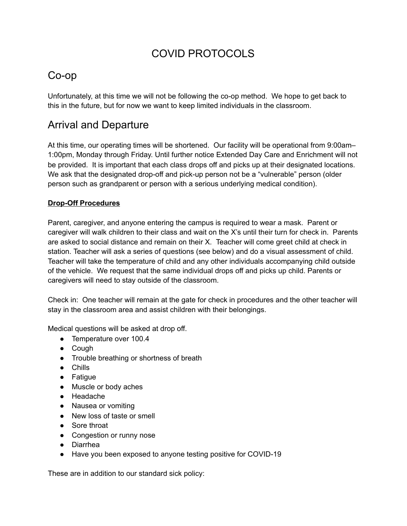# COVID PROTOCOLS

# Co-op

Unfortunately, at this time we will not be following the co-op method. We hope to get back to this in the future, but for now we want to keep limited individuals in the classroom.

# Arrival and Departure

At this time, our operating times will be shortened. Our facility will be operational from 9:00am– 1:00pm, Monday through Friday. Until further notice Extended Day Care and Enrichment will not be provided. It is important that each class drops off and picks up at their designated locations. We ask that the designated drop-off and pick-up person not be a "vulnerable" person (older person such as grandparent or person with a serious underlying medical condition).

#### **Drop-Off Procedures**

Parent, caregiver, and anyone entering the campus is required to wear a mask. Parent or caregiver will walk children to their class and wait on the X's until their turn for check in. Parents are asked to social distance and remain on their X. Teacher will come greet child at check in station. Teacher will ask a series of questions (see below) and do a visual assessment of child. Teacher will take the temperature of child and any other individuals accompanying child outside of the vehicle. We request that the same individual drops off and picks up child. Parents or caregivers will need to stay outside of the classroom.

Check in: One teacher will remain at the gate for check in procedures and the other teacher will stay in the classroom area and assist children with their belongings.

Medical questions will be asked at drop off.

- Temperature over 100.4
- Cough
- Trouble breathing or shortness of breath
- Chills
- Fatigue
- Muscle or body aches
- Headache
- Nausea or vomiting
- New loss of taste or smell
- Sore throat
- Congestion or runny nose
- Diarrhea
- Have you been exposed to anyone testing positive for COVID-19

These are in addition to our standard sick policy: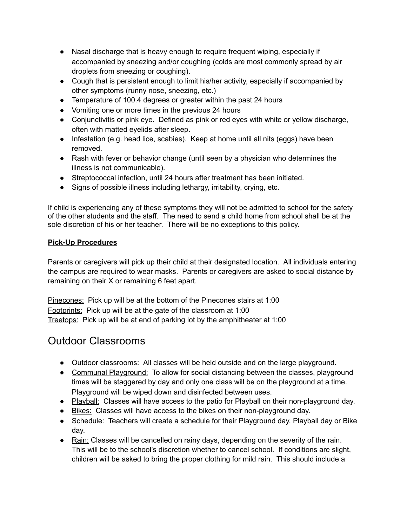- Nasal discharge that is heavy enough to require frequent wiping, especially if accompanied by sneezing and/or coughing (colds are most commonly spread by air droplets from sneezing or coughing).
- Cough that is persistent enough to limit his/her activity, especially if accompanied by other symptoms (runny nose, sneezing, etc.)
- Temperature of 100.4 degrees or greater within the past 24 hours
- Vomiting one or more times in the previous 24 hours
- Conjunctivitis or pink eye. Defined as pink or red eyes with white or yellow discharge, often with matted eyelids after sleep.
- Infestation (e.g. head lice, scabies). Keep at home until all nits (eggs) have been removed.
- Rash with fever or behavior change (until seen by a physician who determines the illness is not communicable).
- Streptococcal infection, until 24 hours after treatment has been initiated.
- Signs of possible illness including lethargy, irritability, crying, etc.

If child is experiencing any of these symptoms they will not be admitted to school for the safety of the other students and the staff. The need to send a child home from school shall be at the sole discretion of his or her teacher. There will be no exceptions to this policy.

#### **Pick-Up Procedures**

Parents or caregivers will pick up their child at their designated location. All individuals entering the campus are required to wear masks. Parents or caregivers are asked to social distance by remaining on their X or remaining 6 feet apart.

Pinecones: Pick up will be at the bottom of the Pinecones stairs at 1:00 Footprints: Pick up will be at the gate of the classroom at 1:00 Treetops: Pick up will be at end of parking lot by the amphitheater at 1:00

#### Outdoor Classrooms

- Outdoor classrooms: All classes will be held outside and on the large playground.
- Communal Playground: To allow for social distancing between the classes, playground times will be staggered by day and only one class will be on the playground at a time. Playground will be wiped down and disinfected between uses.
- Playball: Classes will have access to the patio for Playball on their non-playground day.
- Bikes: Classes will have access to the bikes on their non-playground day.
- Schedule: Teachers will create a schedule for their Playground day, Playball day or Bike day.
- Rain: Classes will be cancelled on rainy days, depending on the severity of the rain. This will be to the school's discretion whether to cancel school. If conditions are slight, children will be asked to bring the proper clothing for mild rain. This should include a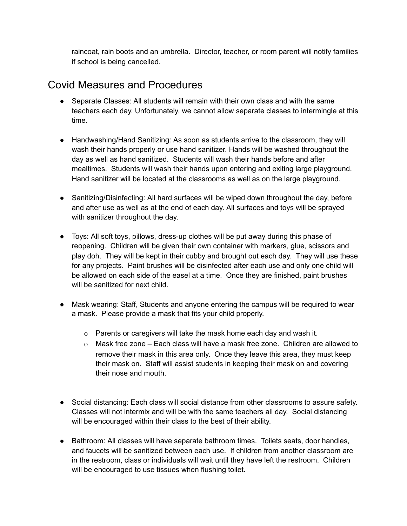raincoat, rain boots and an umbrella. Director, teacher, or room parent will notify families if school is being cancelled.

## Covid Measures and Procedures

- Separate Classes: All students will remain with their own class and with the same teachers each day. Unfortunately, we cannot allow separate classes to intermingle at this time.
- Handwashing/Hand Sanitizing: As soon as students arrive to the classroom, they will wash their hands properly or use hand sanitizer. Hands will be washed throughout the day as well as hand sanitized. Students will wash their hands before and after mealtimes. Students will wash their hands upon entering and exiting large playground. Hand sanitizer will be located at the classrooms as well as on the large playground.
- Sanitizing/Disinfecting: All hard surfaces will be wiped down throughout the day, before and after use as well as at the end of each day. All surfaces and toys will be sprayed with sanitizer throughout the day.
- Toys: All soft toys, pillows, dress-up clothes will be put away during this phase of reopening. Children will be given their own container with markers, glue, scissors and play doh. They will be kept in their cubby and brought out each day. They will use these for any projects. Paint brushes will be disinfected after each use and only one child will be allowed on each side of the easel at a time. Once they are finished, paint brushes will be sanitized for next child.
- Mask wearing: Staff, Students and anyone entering the campus will be required to wear a mask. Please provide a mask that fits your child properly.
	- o Parents or caregivers will take the mask home each day and wash it.
	- o Mask free zone Each class will have a mask free zone. Children are allowed to remove their mask in this area only. Once they leave this area, they must keep their mask on. Staff will assist students in keeping their mask on and covering their nose and mouth.
- Social distancing: Each class will social distance from other classrooms to assure safety. Classes will not intermix and will be with the same teachers all day. Social distancing will be encouraged within their class to the best of their ability.
- Bathroom: All classes will have separate bathroom times. Toilets seats, door handles, and faucets will be sanitized between each use. If children from another classroom are in the restroom, class or individuals will wait until they have left the restroom. Children will be encouraged to use tissues when flushing toilet.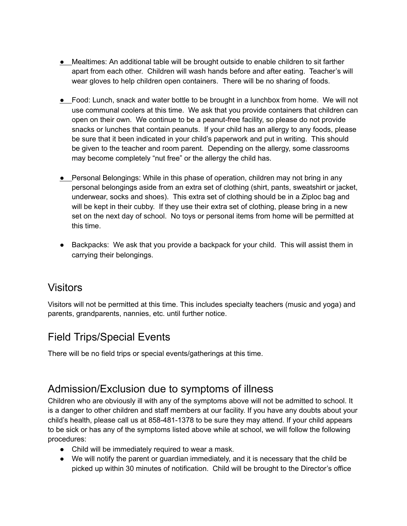- Mealtimes: An additional table will be brought outside to enable children to sit farther apart from each other. Children will wash hands before and after eating. Teacher's will wear gloves to help children open containers. There will be no sharing of foods.
- Food: Lunch, snack and water bottle to be brought in a lunchbox from home. We will not use communal coolers at this time. We ask that you provide containers that children can open on their own. We continue to be a peanut-free facility, so please do not provide snacks or lunches that contain peanuts. If your child has an allergy to any foods, please be sure that it been indicated in your child's paperwork and put in writing. This should be given to the teacher and room parent. Depending on the allergy, some classrooms may become completely "nut free" or the allergy the child has.
- Personal Belongings: While in this phase of operation, children may not bring in any personal belongings aside from an extra set of clothing (shirt, pants, sweatshirt or jacket, underwear, socks and shoes). This extra set of clothing should be in a Ziploc bag and will be kept in their cubby. If they use their extra set of clothing, please bring in a new set on the next day of school. No toys or personal items from home will be permitted at this time.
- Backpacks: We ask that you provide a backpack for your child. This will assist them in carrying their belongings.

### Visitors

Visitors will not be permitted at this time. This includes specialty teachers (music and yoga) and parents, grandparents, nannies, etc. until further notice.

# Field Trips/Special Events

There will be no field trips or special events/gatherings at this time.

# Admission/Exclusion due to symptoms of illness

Children who are obviously ill with any of the symptoms above will not be admitted to school. It is a danger to other children and staff members at our facility. If you have any doubts about your child's health, please call us at 858-481-1378 to be sure they may attend. If your child appears to be sick or has any of the symptoms listed above while at school, we will follow the following procedures:

- Child will be immediately required to wear a mask.
- We will notify the parent or guardian immediately, and it is necessary that the child be picked up within 30 minutes of notification. Child will be brought to the Director's office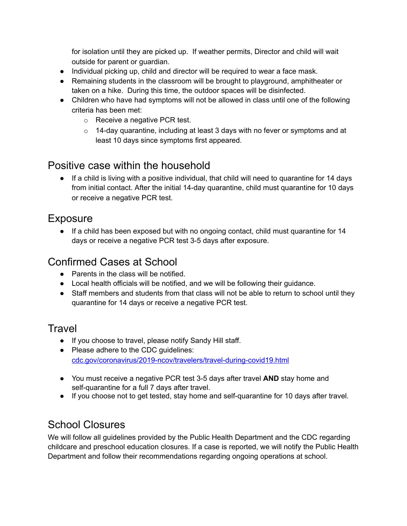for isolation until they are picked up. If weather permits, Director and child will wait outside for parent or guardian.

- Individual picking up, child and director will be required to wear a face mask.
- Remaining students in the classroom will be brought to playground, amphitheater or taken on a hike. During this time, the outdoor spaces will be disinfected.
- Children who have had symptoms will not be allowed in class until one of the following criteria has been met:
	- o Receive a negative PCR test.
	- $\circ$  14-day quarantine, including at least 3 days with no fever or symptoms and at least 10 days since symptoms first appeared.

### Positive case within the household

● If a child is living with a positive individual, that child will need to quarantine for 14 days from initial contact. After the initial 14-day quarantine, child must quarantine for 10 days or receive a negative PCR test.

#### **Exposure**

• If a child has been exposed but with no ongoing contact, child must quarantine for 14 days or receive a negative PCR test 3-5 days after exposure.

## Confirmed Cases at School

- Parents in the class will be notified.
- Local health officials will be notified, and we will be following their guidance.
- Staff members and students from that class will not be able to return to school until they quarantine for 14 days or receive a negative PCR test.

# **Travel**

- If you choose to travel, please notify Sandy Hill staff.
- Please adhere to the CDC guidelines: cdc.gov/coronavirus/2019-ncov/travelers/travel-during-covid19.html
- You must receive a negative PCR test 3-5 days after travel **AND** stay home and self-quarantine for a full 7 days after travel.
- If you choose not to get tested, stay home and self-quarantine for 10 days after travel.

# School Closures

We will follow all guidelines provided by the Public Health Department and the CDC regarding childcare and preschool education closures. If a case is reported, we will notify the Public Health Department and follow their recommendations regarding ongoing operations at school.